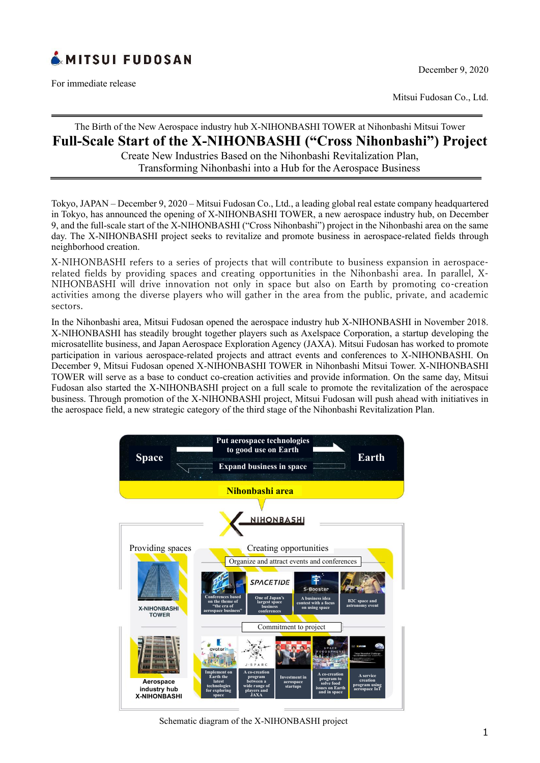

For immediate release

Mitsui Fudosan Co., Ltd.

# The Birth of the New Aerospace industry hub X-NIHONBASHI TOWER at Nihonbashi Mitsui Tower

# **Full-Scale Start of the X-NIHONBASHI ("Cross Nihonbashi") Project**

Create New Industries Based on the Nihonbashi Revitalization Plan, Transforming Nihonbashi into a Hub for the Aerospace Business

Tokyo, JAPAN – December 9, 2020 – Mitsui Fudosan Co., Ltd., a leading global real estate company headquartered in Tokyo, has announced the opening of X-NIHONBASHI TOWER, a new aerospace industry hub, on December 9, and the full-scale start of the X-NIHONBASHI ("Cross Nihonbashi") project in the Nihonbashi area on the same day. The X-NIHONBASHI project seeks to revitalize and promote business in aerospace-related fields through neighborhood creation.

X-NIHONBASHI refers to a series of projects that will contribute to business expansion in aerospacerelated fields by providing spaces and creating opportunities in the Nihonbashi area. In parallel, X-NIHONBASHI will drive innovation not only in space but also on Earth by promoting co-creation activities among the diverse players who will gather in the area from the public, private, and academic sectors.

In the Nihonbashi area, Mitsui Fudosan opened the aerospace industry hub X-NIHONBASHI in November 2018. X-NIHONBASHI has steadily brought together players such as Axelspace Corporation, a startup developing the microsatellite business, and Japan Aerospace Exploration Agency (JAXA). Mitsui Fudosan has worked to promote participation in various aerospace-related projects and attract events and conferences to X-NIHONBASHI. On December 9, Mitsui Fudosan opened X-NIHONBASHI TOWER in Nihonbashi Mitsui Tower. X-NIHONBASHI TOWER will serve as a base to conduct co-creation activities and provide information. On the same day, Mitsui Fudosan also started the X-NIHONBASHI project on a full scale to promote the revitalization of the aerospace business. Through promotion of the X-NIHONBASHI project, Mitsui Fudosan will push ahead with initiatives in the aerospace field, a new strategic category of the third stage of the Nihonbashi Revitalization Plan.



Schematic diagram of the X-NIHONBASHI project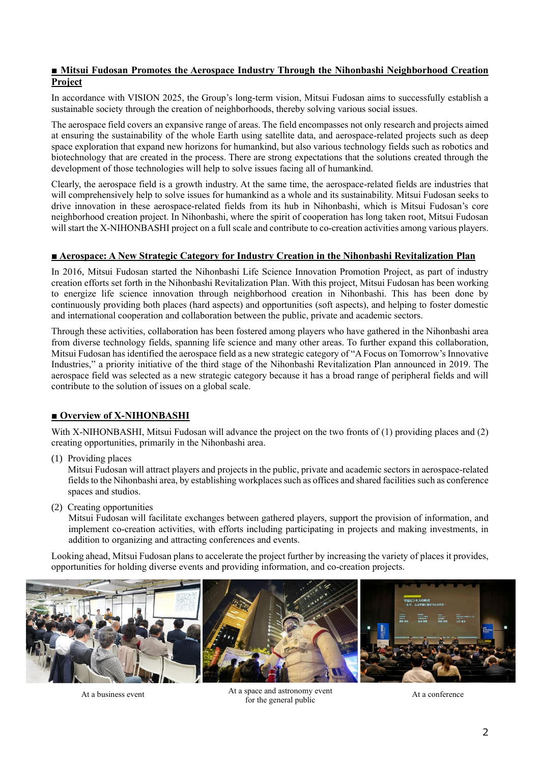## **■ Mitsui Fudosan Promotes the Aerospace Industry Through the Nihonbashi Neighborhood Creation Project**

In accordance with VISION 2025, the Group's long-term vision, Mitsui Fudosan aims to successfully establish a sustainable society through the creation of neighborhoods, thereby solving various social issues.

The aerospace field covers an expansive range of areas. The field encompasses not only research and projects aimed at ensuring the sustainability of the whole Earth using satellite data, and aerospace-related projects such as deep space exploration that expand new horizons for humankind, but also various technology fields such as robotics and biotechnology that are created in the process. There are strong expectations that the solutions created through the development of those technologies will help to solve issues facing all of humankind.

Clearly, the aerospace field is a growth industry. At the same time, the aerospace-related fields are industries that will comprehensively help to solve issues for humankind as a whole and its sustainability. Mitsui Fudosan seeks to drive innovation in these aerospace-related fields from its hub in Nihonbashi, which is Mitsui Fudosan's core neighborhood creation project. In Nihonbashi, where the spirit of cooperation has long taken root, Mitsui Fudosan will start the X-NIHONBASHI project on a full scale and contribute to co-creation activities among various players.

## **■ Aerospace: A New Strategic Category for Industry Creation in the Nihonbashi Revitalization Plan**

In 2016, Mitsui Fudosan started the Nihonbashi Life Science Innovation Promotion Project, as part of industry creation efforts set forth in the Nihonbashi Revitalization Plan. With this project, Mitsui Fudosan has been working to energize life science innovation through neighborhood creation in Nihonbashi. This has been done by continuously providing both places (hard aspects) and opportunities (soft aspects), and helping to foster domestic and international cooperation and collaboration between the public, private and academic sectors.

Through these activities, collaboration has been fostered among players who have gathered in the Nihonbashi area from diverse technology fields, spanning life science and many other areas. To further expand this collaboration, Mitsui Fudosan has identified the aerospace field as a new strategic category of "A Focus on Tomorrow's Innovative Industries," a priority initiative of the third stage of the Nihonbashi Revitalization Plan announced in 2019. The aerospace field was selected as a new strategic category because it has a broad range of peripheral fields and will contribute to the solution of issues on a global scale.

# **■ Overview of X-NIHONBASHI**

With X-NIHONBASHI, Mitsui Fudosan will advance the project on the two fronts of (1) providing places and (2) creating opportunities, primarily in the Nihonbashi area.

(1) Providing places

Mitsui Fudosan will attract players and projects in the public, private and academic sectors in aerospace-related fields to the Nihonbashi area, by establishing workplaces such as offices and shared facilities such as conference spaces and studios.

(2) Creating opportunities

Mitsui Fudosan will facilitate exchanges between gathered players, support the provision of information, and implement co-creation activities, with efforts including participating in projects and making investments, in addition to organizing and attracting conferences and events.

Looking ahead, Mitsui Fudosan plans to accelerate the project further by increasing the variety of places it provides, opportunities for holding diverse events and providing information, and co-creation projects.



At a business event At a space and astronomy event At a conference At a conference for the general public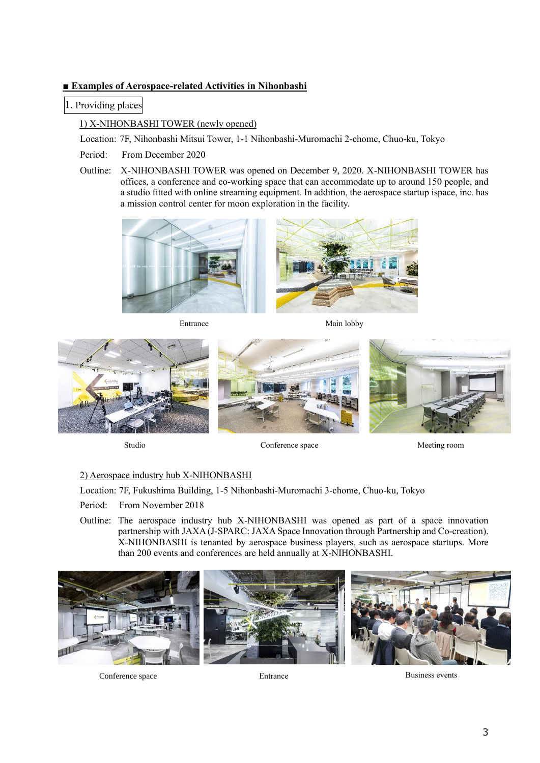# **■ Examples of Aerospace-related Activities in Nihonbashi**

1. Providing places

1) X-NIHONBASHI TOWER (newly opened)

Location: 7F, Nihonbashi Mitsui Tower, 1-1 Nihonbashi-Muromachi 2-chome, Chuo-ku, Tokyo

- Period: From December 2020
- Outline: X-NIHONBASHI TOWER was opened on December 9, 2020. X-NIHONBASHI TOWER has offices, a conference and co-working space that can accommodate up to around 150 people, and a studio fitted with online streaming equipment. In addition, the aerospace startup ispace, inc. has a mission control center for moon exploration in the facility.



Entrance

Main lobby





Meeting room

## 2) Aerospace industry hub X-NIHONBASHI

Location: 7F, Fukushima Building, 1-5 Nihonbashi-Muromachi 3-chome, Chuo-ku, Tokyo

Period: From November 2018

Outline: The aerospace industry hub X-NIHONBASHI was opened as part of a space innovation partnership with JAXA (J-SPARC: JAXA Space Innovation through Partnership and Co-creation). X-NIHONBASHI is tenanted by aerospace business players, such as aerospace startups. More than 200 events and conferences are held annually at X-NIHONBASHI.



Conference space Entrance Entrance Business events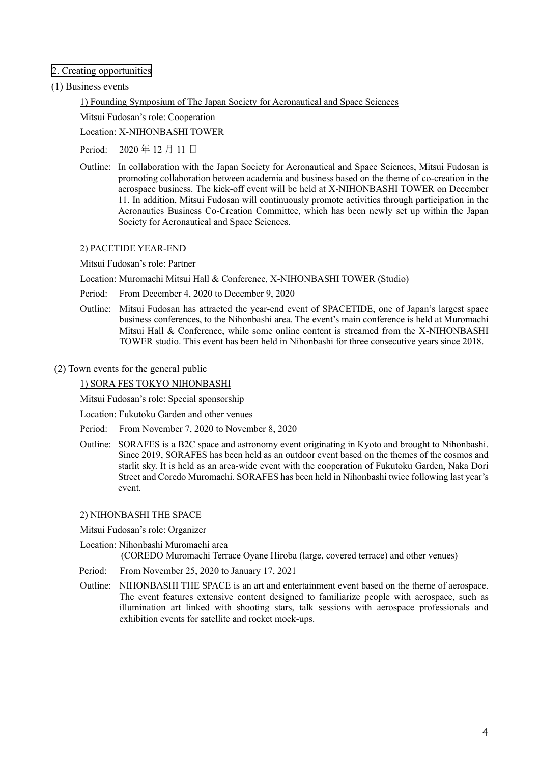## 2. Creating opportunities

### (1) Business events

1) Founding Symposium of The Japan Society for Aeronautical and Space Sciences

Mitsui Fudosan's role: Cooperation

Location: X-NIHONBASHI TOWER

Period: 2020 年 12 月 11 日

Outline: In collaboration with the Japan Society for Aeronautical and Space Sciences, Mitsui Fudosan is promoting collaboration between academia and business based on the theme of co-creation in the aerospace business. The kick-off event will be held at X-NIHONBASHI TOWER on December 11. In addition, Mitsui Fudosan will continuously promote activities through participation in the Aeronautics Business Co-Creation Committee, which has been newly set up within the Japan Society for Aeronautical and Space Sciences.

### 2) PACETIDE YEAR-END

Mitsui Fudosan's role: Partner

Location: Muromachi Mitsui Hall & Conference, X-NIHONBASHI TOWER (Studio)

- Period: From December 4, 2020 to December 9, 2020
- Outline: Mitsui Fudosan has attracted the year-end event of SPACETIDE, one of Japan's largest space business conferences, to the Nihonbashi area. The event's main conference is held at Muromachi Mitsui Hall & Conference, while some online content is streamed from the X-NIHONBASHI TOWER studio. This event has been held in Nihonbashi for three consecutive years since 2018.
- (2) Town events for the general public

1) SORA FES TOKYO NIHONBASHI

Mitsui Fudosan's role: Special sponsorship

Location: Fukutoku Garden and other venues

- Period: From November 7, 2020 to November 8, 2020
- Outline: SORAFES is a B2C space and astronomy event originating in Kyoto and brought to Nihonbashi. Since 2019, SORAFES has been held as an outdoor event based on the themes of the cosmos and starlit sky. It is held as an area-wide event with the cooperation of Fukutoku Garden, Naka Dori Street and Coredo Muromachi. SORAFES has been held in Nihonbashi twice following last year's event.

#### 2) NIHONBASHI THE SPACE

Mitsui Fudosan's role: Organizer

Location: Nihonbashi Muromachi area (COREDO Muromachi Terrace Oyane Hiroba (large, covered terrace) and other venues)

Period: From November 25, 2020 to January 17, 2021

Outline: NIHONBASHI THE SPACE is an art and entertainment event based on the theme of aerospace. The event features extensive content designed to familiarize people with aerospace, such as illumination art linked with shooting stars, talk sessions with aerospace professionals and exhibition events for satellite and rocket mock-ups.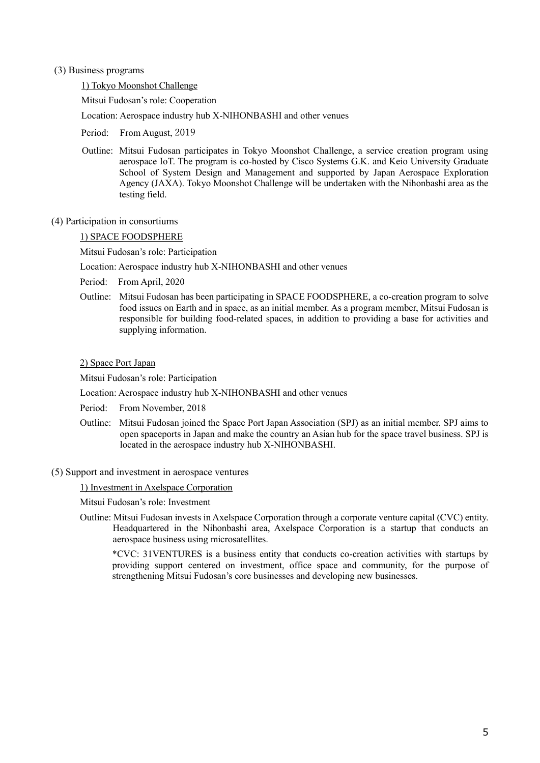#### (3) Business programs

#### 1) Tokyo Moonshot Challenge

Mitsui Fudosan's role: Cooperation

Location: Aerospace industry hub X-NIHONBASHI and other venues

- Period: From August, 2019
- Outline: Mitsui Fudosan participates in Tokyo Moonshot Challenge, a service creation program using aerospace IoT. The program is co-hosted by Cisco Systems G.K. and Keio University Graduate School of System Design and Management and supported by Japan Aerospace Exploration Agency (JAXA). Tokyo Moonshot Challenge will be undertaken with the Nihonbashi area as the testing field.
- (4) Participation in consortiums

### 1) SPACE FOODSPHERE

Mitsui Fudosan's role: Participation

Location: Aerospace industry hub X-NIHONBASHI and other venues

- Period: From April, 2020
- Outline: Mitsui Fudosan has been participating in SPACE FOODSPHERE, a co-creation program to solve food issues on Earth and in space, as an initial member. As a program member, Mitsui Fudosan is responsible for building food-related spaces, in addition to providing a base for activities and supplying information.

### 2) Space Port Japan

Mitsui Fudosan's role: Participation

Location: Aerospace industry hub X-NIHONBASHI and other venues

- Period: From November, 2018
- Outline: Mitsui Fudosan joined the Space Port Japan Association (SPJ) as an initial member. SPJ aims to open spaceports in Japan and make the country an Asian hub for the space travel business. SPJ is located in the aerospace industry hub X-NIHONBASHI.
- (5) Support and investment in aerospace ventures

1) Investment in Axelspace Corporation

Mitsui Fudosan's role: Investment

Outline: Mitsui Fudosan invests in Axelspace Corporation through a corporate venture capital (CVC) entity. Headquartered in the Nihonbashi area, Axelspace Corporation is a startup that conducts an aerospace business using microsatellites.

\*CVC: 31VENTURES is a business entity that conducts co-creation activities with startups by providing support centered on investment, office space and community, for the purpose of strengthening Mitsui Fudosan's core businesses and developing new businesses.